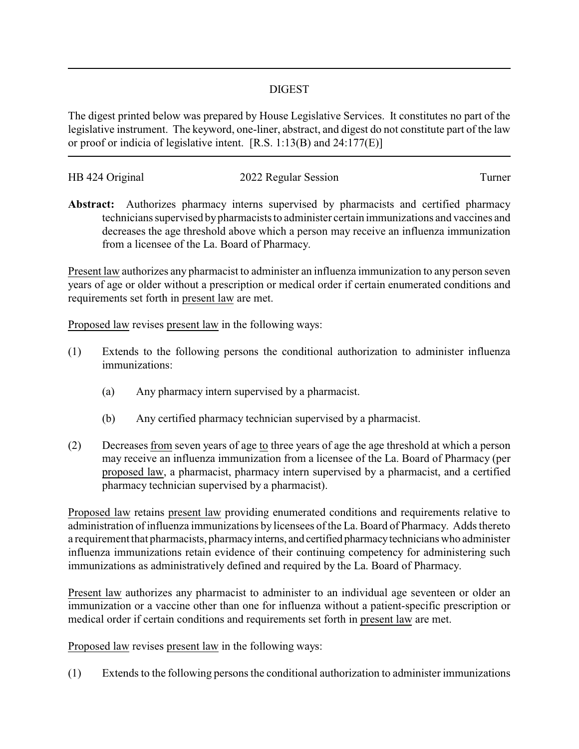## DIGEST

The digest printed below was prepared by House Legislative Services. It constitutes no part of the legislative instrument. The keyword, one-liner, abstract, and digest do not constitute part of the law or proof or indicia of legislative intent. [R.S. 1:13(B) and 24:177(E)]

| HB 424 Original | 2022 Regular Session | l urner |
|-----------------|----------------------|---------|
|                 |                      |         |

**Abstract:** Authorizes pharmacy interns supervised by pharmacists and certified pharmacy technicians supervised bypharmacists to administer certain immunizations and vaccines and decreases the age threshold above which a person may receive an influenza immunization from a licensee of the La. Board of Pharmacy.

Present law authorizes any pharmacist to administer an influenza immunization to any person seven years of age or older without a prescription or medical order if certain enumerated conditions and requirements set forth in present law are met.

Proposed law revises present law in the following ways:

- (1) Extends to the following persons the conditional authorization to administer influenza immunizations:
	- (a) Any pharmacy intern supervised by a pharmacist.
	- (b) Any certified pharmacy technician supervised by a pharmacist.
- (2) Decreases from seven years of age to three years of age the age threshold at which a person may receive an influenza immunization from a licensee of the La. Board of Pharmacy (per proposed law, a pharmacist, pharmacy intern supervised by a pharmacist, and a certified pharmacy technician supervised by a pharmacist).

Proposed law retains present law providing enumerated conditions and requirements relative to administration of influenza immunizations by licensees of the La. Board of Pharmacy. Adds thereto a requirement that pharmacists, pharmacy interns, and certified pharmacy technicians who administer influenza immunizations retain evidence of their continuing competency for administering such immunizations as administratively defined and required by the La. Board of Pharmacy.

Present law authorizes any pharmacist to administer to an individual age seventeen or older an immunization or a vaccine other than one for influenza without a patient-specific prescription or medical order if certain conditions and requirements set forth in present law are met.

Proposed law revises present law in the following ways:

(1) Extends to the following persons the conditional authorization to administer immunizations